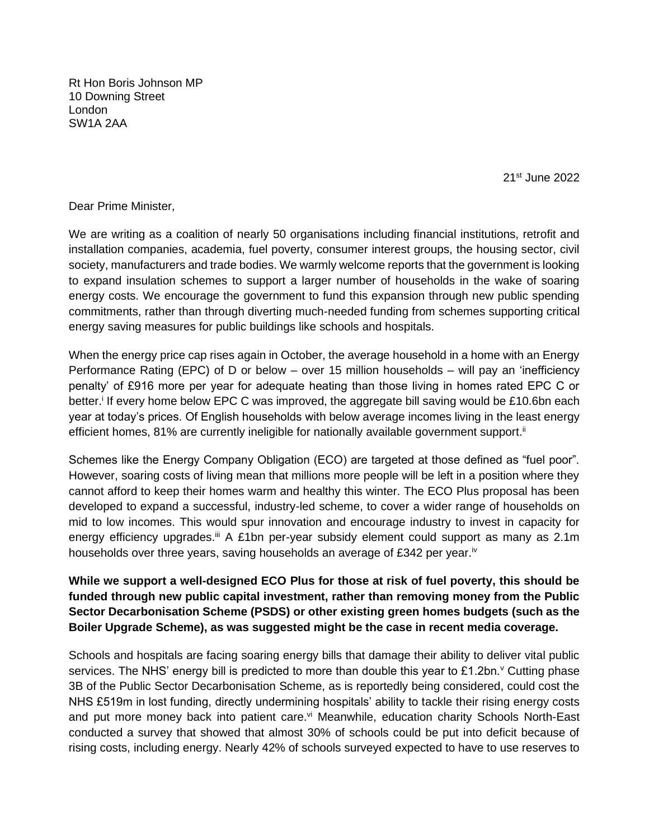Rt Hon Boris Johnson MP 10 Downing Street London SW1A 2AA

21st June 2022

Dear Prime Minister,

We are writing as a coalition of nearly 50 organisations including financial institutions, retrofit and installation companies, academia, fuel poverty, consumer interest groups, the housing sector, civil society, manufacturers and trade bodies. We warmly welcome reports that the government is looking to expand insulation schemes to support a larger number of households in the wake of soaring energy costs. We encourage the government to fund this expansion through new public spending commitments, rather than through diverting much-needed funding from schemes supporting critical energy saving measures for public buildings like schools and hospitals.

When the energy price cap rises again in October, the average household in a home with an Energy Performance Rating (EPC) of D or below – over 15 million households – will pay an 'inefficiency penalty' of £916 more per year for adequate heating than those living in homes rated EPC C or better.<sup>i</sup> If every home below EPC C was improved, the aggregate bill saving would be £10.6bn each year at today's prices. Of English households with below average incomes living in the least energy efficient homes, 81% are currently ineligible for nationally available government support.<sup>ii</sup>

Schemes like the Energy Company Obligation (ECO) are targeted at those defined as "fuel poor". However, soaring costs of living mean that millions more people will be left in a position where they cannot afford to keep their homes warm and healthy this winter. The ECO Plus proposal has been developed to expand a successful, industry-led scheme, to cover a wider range of households on mid to low incomes. This would spur innovation and encourage industry to invest in capacity for energy efficiency upgrades.iii A £1bn per-year subsidy element could support as many as 2.1m households over three years, saving households an average of £342 per year.<sup>iv</sup>

**While we support a well-designed ECO Plus for those at risk of fuel poverty, this should be funded through new public capital investment, rather than removing money from the Public Sector Decarbonisation Scheme (PSDS) or other existing green homes budgets (such as the Boiler Upgrade Scheme), as was suggested might be the case in recent media coverage.** 

Schools and hospitals are facing soaring energy bills that damage their ability to deliver vital public services. The NHS' energy bill is predicted to more than double this year to £1.2bn.<sup>v</sup> Cutting phase 3B of the Public Sector Decarbonisation Scheme, as is reportedly being considered, could cost the NHS £519m in lost funding, directly undermining hospitals' ability to tackle their rising energy costs and put more money back into patient care.<sup>vi</sup> Meanwhile, education charity Schools North-East conducted a survey that showed that almost 30% of schools could be put into deficit because of rising costs, including energy. Nearly 42% of schools surveyed expected to have to use reserves to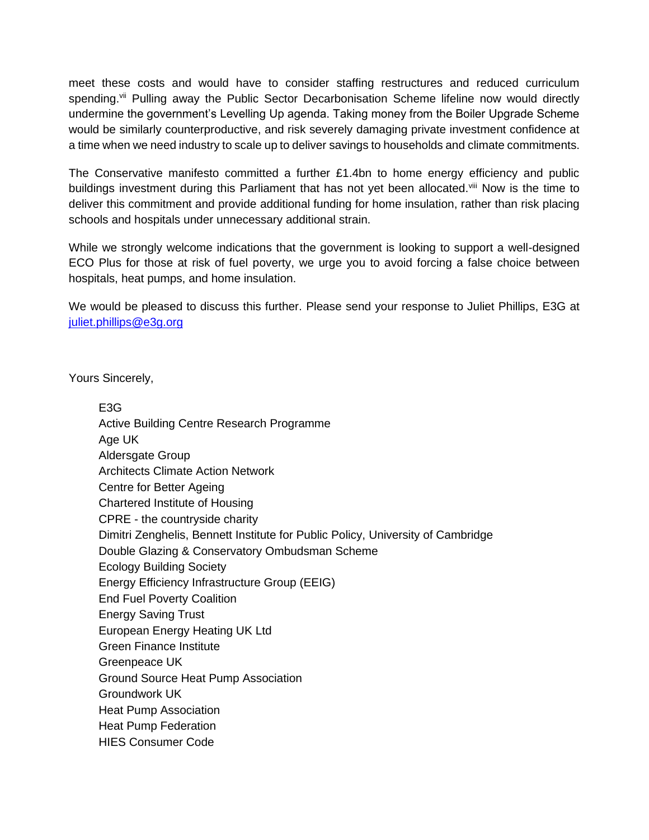meet these costs and would have to consider staffing restructures and reduced curriculum spending.<sup>vii</sup> Pulling away the Public Sector Decarbonisation Scheme lifeline now would directly undermine the government's Levelling Up agenda. Taking money from the Boiler Upgrade Scheme would be similarly counterproductive, and risk severely damaging private investment confidence at a time when we need industry to scale up to deliver savings to households and climate commitments.

The Conservative manifesto committed a further £1.4bn to home energy efficiency and public buildings investment during this Parliament that has not yet been allocated. Vill Now is the time to deliver this commitment and provide additional funding for home insulation, rather than risk placing schools and hospitals under unnecessary additional strain.

While we strongly welcome indications that the government is looking to support a well-designed ECO Plus for those at risk of fuel poverty, we urge you to avoid forcing a false choice between hospitals, heat pumps, and home insulation.

We would be pleased to discuss this further. Please send your response to Juliet Phillips, E3G at [juliet.phillips@e3g.org](mailto:juliet.phillips@e3g.org)

Yours Sincerely,

E3G Active Building Centre Research Programme Age UK Aldersgate Group Architects Climate Action Network Centre for Better Ageing Chartered Institute of Housing CPRE - the countryside charity Dimitri Zenghelis, Bennett Institute for Public Policy, University of Cambridge Double Glazing & Conservatory Ombudsman Scheme Ecology Building Society Energy Efficiency Infrastructure Group (EEIG) End Fuel Poverty Coalition Energy Saving Trust European Energy Heating UK Ltd Green Finance Institute Greenpeace UK Ground Source Heat Pump Association Groundwork UK Heat Pump Association Heat Pump Federation HIES Consumer Code